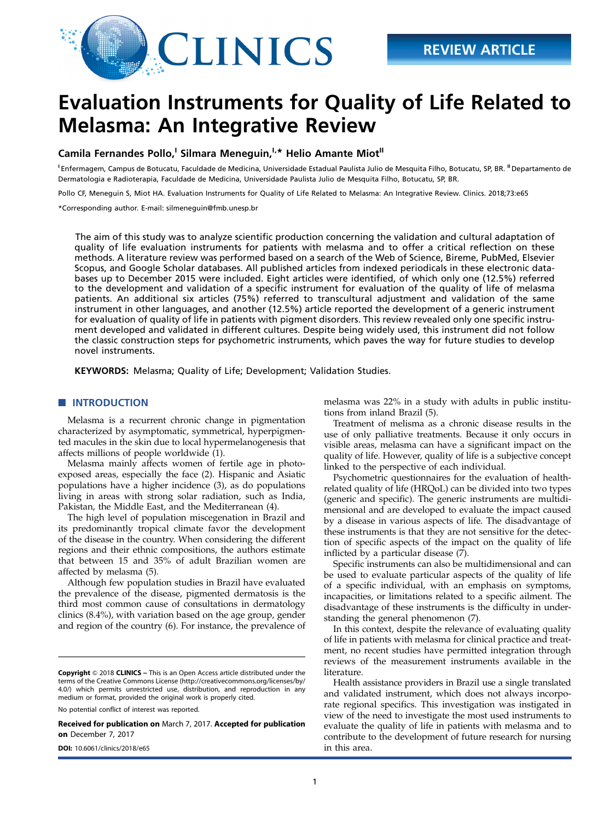

# Evaluation Instruments for Quality of Life Related to Melasma: An Integrative Review

## Camila Fernandes Pollo,<sup>I</sup> Silmara Meneguin,<sup>I,\*</sup> Helio Amante Miot<sup>II</sup>

<sup>1</sup> Enfermagem, Campus de Botucatu, Faculdade de Medicina, Universidade Estadual Paulista Julio de Mesquita Filho, Botucatu, SP, BR. <sup>II</sup> Departamento de Dermatologia e Radioterapia, Faculdade de Medicina, Universidade Paulista Julio de Mesquita Filho, Botucatu, SP, BR.

Pollo CF, Meneguin S, Miot HA. Evaluation Instruments for Quality of Life Related to Melasma: An Integrative Review. Clinics. 2018;73:e65

\*Corresponding author. E-mail: [silmeneguin@fmb.unesp.br](mailto:silmeneguin@fmb.unesp.br)

The aim of this study was to analyze scientific production concerning the validation and cultural adaptation of quality of life evaluation instruments for patients with melasma and to offer a critical reflection on these methods. A literature review was performed based on a search of the Web of Science, Bireme, PubMed, Elsevier Scopus, and Google Scholar databases. All published articles from indexed periodicals in these electronic databases up to December 2015 were included. Eight articles were identified, of which only one (12.5%) referred to the development and validation of a specific instrument for evaluation of the quality of life of melasma patients. An additional six articles (75%) referred to transcultural adjustment and validation of the same instrument in other languages, and another (12.5%) article reported the development of a generic instrument for evaluation of quality of life in patients with pigment disorders. This review revealed only one specific instrument developed and validated in different cultures. Despite being widely used, this instrument did not follow the classic construction steps for psychometric instruments, which paves the way for future studies to develop novel instruments.

KEYWORDS: Melasma; Quality of Life; Development; Validation Studies.

## **NUMBER OF STREET INTRODUCTION**

Melasma is a recurrent chronic change in pigmentation characterized by asymptomatic, symmetrical, hyperpigmented macules in the skin due to local hypermelanogenesis that affects millions of people worldwide (1).

Melasma mainly affects women of fertile age in photoexposed areas, especially the face (2). Hispanic and Asiatic populations have a higher incidence (3), as do populations living in areas with strong solar radiation, such as India, Pakistan, the Middle East, and the Mediterranean (4).

The high level of population miscegenation in Brazil and its predominantly tropical climate favor the development of the disease in the country. When considering the different regions and their ethnic compositions, the authors estimate that between 15 and 35% of adult Brazilian women are affected by melasma (5).

Although few population studies in Brazil have evaluated the prevalence of the disease, pigmented dermatosis is the third most common cause of consultations in dermatology clinics (8.4%), with variation based on the age group, gender and region of the country (6). For instance, the prevalence of

No potential conflict of interest was reported.

Received for publication on March 7, 2017. Accepted for publication on December 7, 2017

**DOI:** [10.6061/clinics/2018/e65](http://dx.doi.org/10.6061/clinics/2018/e65) in this area.

melasma was 22% in a study with adults in public institutions from inland Brazil (5).

Treatment of melisma as a chronic disease results in the use of only palliative treatments. Because it only occurs in visible areas, melasma can have a significant impact on the quality of life. However, quality of life is a subjective concept linked to the perspective of each individual.

Psychometric questionnaires for the evaluation of healthrelated quality of life (HRQoL) can be divided into two types (generic and specific). The generic instruments are multidimensional and are developed to evaluate the impact caused by a disease in various aspects of life. The disadvantage of these instruments is that they are not sensitive for the detection of specific aspects of the impact on the quality of life inflicted by a particular disease  $(7)$ .

Specific instruments can also be multidimensional and can be used to evaluate particular aspects of the quality of life of a specific individual, with an emphasis on symptoms, incapacities, or limitations related to a specific ailment. The disadvantage of these instruments is the difficulty in understanding the general phenomenon (7).

In this context, despite the relevance of evaluating quality of life in patients with melasma for clinical practice and treatment, no recent studies have permitted integration through reviews of the measurement instruments available in the literature.

Health assistance providers in Brazil use a single translated and validated instrument, which does not always incorporate regional specifics. This investigation was instigated in view of the need to investigate the most used instruments to evaluate the quality of life in patients with melasma and to contribute to the development of future research for nursing

Copyright © 2018 CLINICS – This is an Open Access article distributed under the terms of the Creative Commons License (http://creativecommons.org/licenses/by/ 4.0/) which permits unrestricted use, distribution, and reproduction in any medium or format, provided the original work is properly cited.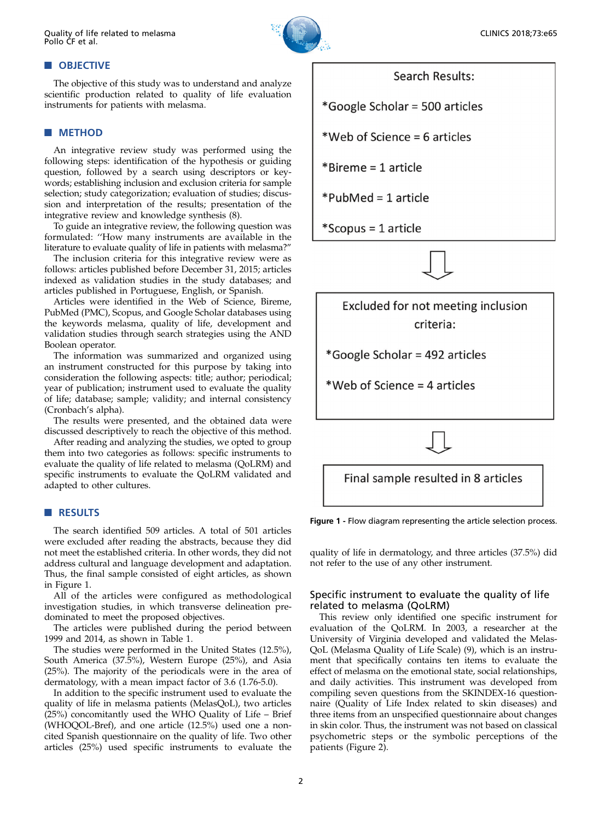

## **NOBJECTIVE**

The objective of this study was to understand and analyze scientific production related to quality of life evaluation instruments for patients with melasma.

#### **NETHOD**

An integrative review study was performed using the following steps: identification of the hypothesis or guiding question, followed by a search using descriptors or keywords; establishing inclusion and exclusion criteria for sample selection; study categorization; evaluation of studies; discussion and interpretation of the results; presentation of the integrative review and knowledge synthesis (8).

To guide an integrative review, the following question was formulated: ''How many instruments are available in the literature to evaluate quality of life in patients with melasma?''

The inclusion criteria for this integrative review were as follows: articles published before December 31, 2015; articles indexed as validation studies in the study databases; and articles published in Portuguese, English, or Spanish.

Articles were identified in the Web of Science, Bireme, PubMed (PMC), Scopus, and Google Scholar databases using the keywords melasma, quality of life, development and validation studies through search strategies using the AND Boolean operator.

The information was summarized and organized using an instrument constructed for this purpose by taking into consideration the following aspects: title; author; periodical; year of publication; instrument used to evaluate the quality of life; database; sample; validity; and internal consistency (Cronbach's alpha).

The results were presented, and the obtained data were discussed descriptively to reach the objective of this method.

After reading and analyzing the studies, we opted to group them into two categories as follows: specific instruments to evaluate the quality of life related to melasma (QoLRM) and specific instruments to evaluate the QoLRM validated and adapted to other cultures.

#### **RESULTS**

The search identified 509 articles. A total of 501 articles were excluded after reading the abstracts, because they did not meet the established criteria. In other words, they did not address cultural and language development and adaptation. Thus, the final sample consisted of eight articles, as shown in Figure 1.

All of the articles were configured as methodological investigation studies, in which transverse delineation predominated to meet the proposed objectives.

The articles were published during the period between 1999 and 2014, as shown in Table 1.

The studies were performed in the United States (12.5%), South America (37.5%), Western Europe (25%), and Asia (25%). The majority of the periodicals were in the area of dermatology, with a mean impact factor of 3.6 (1.76-5.0).

In addition to the specific instrument used to evaluate the quality of life in melasma patients (MelasQoL), two articles (25%) concomitantly used the WHO Quality of Life – Brief (WHOQOL-Bref), and one article (12.5%) used one a noncited Spanish questionnaire on the quality of life. Two other articles (25%) used specific instruments to evaluate the

## Search Results:

\*Google Scholar = 500 articles

\*Web of Science = 6 articles

 $*B$ ireme = 1 article

\*PubMed = 1 article

\*Scopus = 1 article



Excluded for not meeting inclusion criteria:

\*Google Scholar = 492 articles

\*Web of Science = 4 articles

Final sample resulted in 8 articles

Figure 1 - Flow diagram representing the article selection process.

quality of life in dermatology, and three articles (37.5%) did not refer to the use of any other instrument.

## Specific instrument to evaluate the quality of life related to melasma (QoLRM)

This review only identified one specific instrument for evaluation of the QoLRM. In 2003, a researcher at the University of Virginia developed and validated the Melas-QoL (Melasma Quality of Life Scale) (9), which is an instrument that specifically contains ten items to evaluate the effect of melasma on the emotional state, social relationships, and daily activities. This instrument was developed from compiling seven questions from the SKINDEX-16 questionnaire (Quality of Life Index related to skin diseases) and three items from an unspecified questionnaire about changes in skin color. Thus, the instrument was not based on classical psychometric steps or the symbolic perceptions of the patients (Figure 2).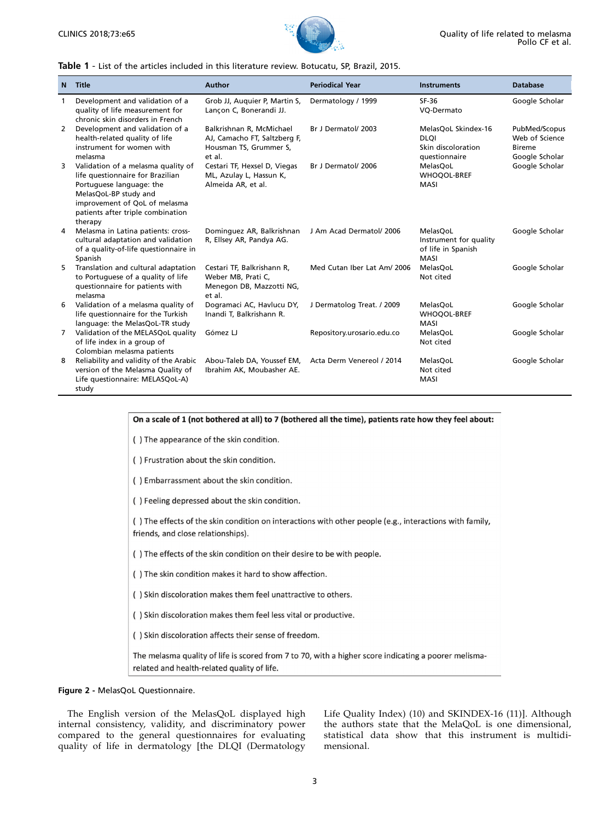

#### Table 1 - List of the articles included in this literature review. Botucatu, SP, Brazil, 2015.

| $\mathbf N$ | Title                                                                                                                                                                                                        | <b>Author</b>                                                                                | <b>Periodical Year</b>      | <b>Instruments</b>                                                        | <b>Database</b>                                                    |
|-------------|--------------------------------------------------------------------------------------------------------------------------------------------------------------------------------------------------------------|----------------------------------------------------------------------------------------------|-----------------------------|---------------------------------------------------------------------------|--------------------------------------------------------------------|
| 1           | Development and validation of a<br>quality of life measurement for<br>chronic skin disorders in French                                                                                                       | Grob JJ, Auguier P, Martin S,<br>Lancon C, Bonerandi JJ.                                     | Dermatology / 1999          | SF-36<br>VQ-Dermato                                                       | Google Scholar                                                     |
| 2           | Development and validation of a<br>health-related quality of life<br>instrument for women with<br>melasma                                                                                                    | Balkrishnan R, McMichael<br>AJ, Camacho FT, Saltzberg F,<br>Housman TS, Grummer S,<br>et al. | Br J Dermatol/ 2003         | MelasQoL Skindex-16<br><b>DLOI</b><br>Skin discoloration<br>questionnaire | PubMed/Scopus<br>Web of Science<br><b>Bireme</b><br>Google Scholar |
| 3           | Validation of a melasma quality of<br>life questionnaire for Brazilian<br>Portuguese language: the<br>MelasQoL-BP study and<br>improvement of QoL of melasma<br>patients after triple combination<br>therapy | Cestari TF, Hexsel D, Viegas<br>ML, Azulay L, Hassun K,<br>Almeida AR, et al.                | Br J Dermatol/ 2006         | MelasQoL<br><b>WHOQOL-BREF</b><br>MASI                                    | Google Scholar                                                     |
| 4           | Melasma in Latina patients: cross-<br>cultural adaptation and validation<br>of a quality-of-life questionnaire in<br>Spanish                                                                                 | Dominguez AR, Balkrishnan<br>R, Ellsey AR, Pandya AG.                                        | J Am Acad Dermatol/ 2006    | MelasQoL<br>Instrument for quality<br>of life in Spanish<br><b>MASI</b>   | Google Scholar                                                     |
| 5           | Translation and cultural adaptation<br>to Portuguese of a quality of life<br>questionnaire for patients with<br>melasma                                                                                      | Cestari TF, Balkrishann R,<br>Weber MB, Prati C,<br>Menegon DB, Mazzotti NG,<br>et al.       | Med Cutan Iber Lat Am/ 2006 | MelasQoL<br>Not cited                                                     | Google Scholar                                                     |
| 6           | Validation of a melasma quality of<br>life questionnaire for the Turkish<br>language: the MelasQoL-TR study                                                                                                  | Dogramaci AC, Havlucu DY,<br>Inandi T, Balkrishann R.                                        | J Dermatolog Treat. / 2009  | MelasQoL<br><b>WHOQOL-BREF</b><br><b>MASI</b>                             | Google Scholar                                                     |
| 7           | Validation of the MELASQoL quality<br>of life index in a group of<br>Colombian melasma patients                                                                                                              | Gómez LJ                                                                                     | Repository.urosario.edu.co  | MelasQoL<br>Not cited                                                     | Google Scholar                                                     |
| 8           | Reliability and validity of the Arabic<br>version of the Melasma Quality of<br>Life questionnaire: MELASQoL-A)<br>study                                                                                      | Abou-Taleb DA, Youssef EM,<br>Ibrahim AK, Moubasher AE.                                      | Acta Derm Venereol / 2014   | MelasQoL<br>Not cited<br><b>MASI</b>                                      | Google Scholar                                                     |

| On a scale of 1 (not bothered at all) to 7 (bothered all the time), patients rate how they feel about:                                              |  |  |  |  |  |
|-----------------------------------------------------------------------------------------------------------------------------------------------------|--|--|--|--|--|
| () The appearance of the skin condition.                                                                                                            |  |  |  |  |  |
| () Frustration about the skin condition.                                                                                                            |  |  |  |  |  |
| () Embarrassment about the skin condition.                                                                                                          |  |  |  |  |  |
| () Feeling depressed about the skin condition.                                                                                                      |  |  |  |  |  |
| () The effects of the skin condition on interactions with other people (e.g., interactions with family,<br>friends, and close relationships).       |  |  |  |  |  |
| () The effects of the skin condition on their desire to be with people.                                                                             |  |  |  |  |  |
| () The skin condition makes it hard to show affection.                                                                                              |  |  |  |  |  |
| () Skin discoloration makes them feel unattractive to others.                                                                                       |  |  |  |  |  |
| () Skin discoloration makes them feel less vital or productive.                                                                                     |  |  |  |  |  |
| () Skin discoloration affects their sense of freedom.                                                                                               |  |  |  |  |  |
| The melasma quality of life is scored from 7 to 70, with a higher score indicating a poorer melisma-<br>related and health-related quality of life. |  |  |  |  |  |
|                                                                                                                                                     |  |  |  |  |  |

## Figure 2 - MelasQoL Questionnaire.

The English version of the MelasQoL displayed high internal consistency, validity, and discriminatory power compared to the general questionnaires for evaluating quality of life in dermatology [the DLQI (Dermatology

Life Quality Index) (10) and SKINDEX-16 (11)]. Although the authors state that the MelaQoL is one dimensional, statistical data show that this instrument is multidimensional.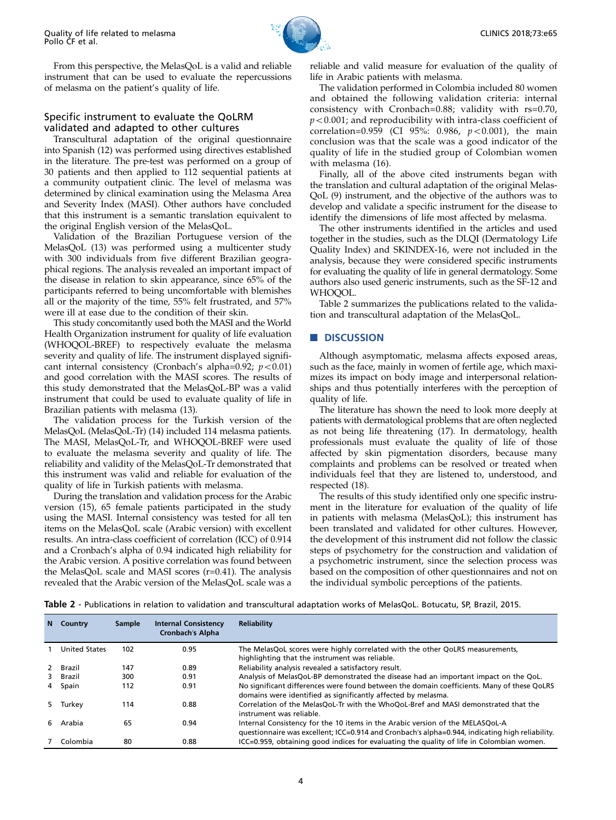

From this perspective, the MelasQoL is a valid and reliable instrument that can be used to evaluate the repercussions of melasma on the patient's quality of life.

## Specific instrument to evaluate the QoLRM validated and adapted to other cultures

Transcultural adaptation of the original questionnaire into Spanish (12) was performed using directives established in the literature. The pre-test was performed on a group of 30 patients and then applied to 112 sequential patients at a community outpatient clinic. The level of melasma was determined by clinical examination using the Melasma Area and Severity Index (MASI). Other authors have concluded that this instrument is a semantic translation equivalent to the original English version of the MelasQoL.

Validation of the Brazilian Portuguese version of the MelasQoL (13) was performed using a multicenter study with 300 individuals from five different Brazilian geographical regions. The analysis revealed an important impact of the disease in relation to skin appearance, since 65% of the participants referred to being uncomfortable with blemishes all or the majority of the time, 55% felt frustrated, and 57% were ill at ease due to the condition of their skin.

This study concomitantly used both the MASI and the World Health Organization instrument for quality of life evaluation (WHOQOL-BREF) to respectively evaluate the melasma severity and quality of life. The instrument displayed significant internal consistency (Cronbach's alpha=0.92;  $p < 0.01$ ) and good correlation with the MASI scores. The results of this study demonstrated that the MelasQoL-BP was a valid instrument that could be used to evaluate quality of life in Brazilian patients with melasma (13).

The validation process for the Turkish version of the MelasQoL (MelasQoL-Tr) (14) included 114 melasma patients. The MASI, MelasQoL-Tr, and WHOQOL-BREF were used to evaluate the melasma severity and quality of life. The reliability and validity of the MelasQoL-Tr demonstrated that this instrument was valid and reliable for evaluation of the quality of life in Turkish patients with melasma.

During the translation and validation process for the Arabic version (15), 65 female patients participated in the study using the MASI. Internal consistency was tested for all ten items on the MelasQoL scale (Arabic version) with excellent results. An intra-class coefficient of correlation (ICC) of 0.914 and a Cronbach's alpha of 0.94 indicated high reliability for the Arabic version. A positive correlation was found between the MelasQoL scale and MASI scores (r=0.41). The analysis revealed that the Arabic version of the MelasQoL scale was a

reliable and valid measure for evaluation of the quality of life in Arabic patients with melasma.

The validation performed in Colombia included 80 women and obtained the following validation criteria: internal consistency with Cronbach=0.88; validity with rs=0.70,  $p<0.001$ ; and reproducibility with intra-class coefficient of correlation=0.959 (CI 95%: 0.986,  $p < 0.001$ ), the main conclusion was that the scale was a good indicator of the quality of life in the studied group of Colombian women with melasma (16).

Finally, all of the above cited instruments began with the translation and cultural adaptation of the original Melas-QoL (9) instrument, and the objective of the authors was to develop and validate a specific instrument for the disease to identify the dimensions of life most affected by melasma.

The other instruments identified in the articles and used together in the studies, such as the DLQI (Dermatology Life Quality Index) and SKINDEX-16, were not included in the analysis, because they were considered specific instruments for evaluating the quality of life in general dermatology. Some authors also used generic instruments, such as the SF-12 and WHOOOL.

Table 2 summarizes the publications related to the validation and transcultural adaptation of the MelasQoL.

#### **DISCUSSION**

Although asymptomatic, melasma affects exposed areas, such as the face, mainly in women of fertile age, which maximizes its impact on body image and interpersonal relationships and thus potentially interferes with the perception of quality of life.

The literature has shown the need to look more deeply at patients with dermatological problems that are often neglected as not being life threatening (17). In dermatology, health professionals must evaluate the quality of life of those affected by skin pigmentation disorders, because many complaints and problems can be resolved or treated when individuals feel that they are listened to, understood, and respected (18).

The results of this study identified only one specific instrument in the literature for evaluation of the quality of life in patients with melasma (MelasQoL); this instrument has been translated and validated for other cultures. However, the development of this instrument did not follow the classic steps of psychometry for the construction and validation of a psychometric instrument, since the selection process was based on the composition of other questionnaires and not on the individual symbolic perceptions of the patients.

Table 2 - Publications in relation to validation and transcultural adaptation works of MelasQoL. Botucatu, SP, Brazil, 2015.

|    | N Country            | Sample | <b>Internal Consistency</b><br>Cronbach's Alpha | <b>Reliability</b>                                                                                                                                                               |
|----|----------------------|--------|-------------------------------------------------|----------------------------------------------------------------------------------------------------------------------------------------------------------------------------------|
|    | <b>United States</b> | 102    | 0.95                                            | The MelasQoL scores were highly correlated with the other QoLRS measurements,<br>highlighting that the instrument was reliable.                                                  |
|    | 2 Brazil             | 147    | 0.89                                            | Reliability analysis revealed a satisfactory result.                                                                                                                             |
|    | 3 Brazil             | 300    | 0.91                                            | Analysis of MelasQoL-BP demonstrated the disease had an important impact on the QoL.                                                                                             |
| 4  | Spain                | 112    | 0.91                                            | No significant differences were found between the domain coefficients. Many of these QoLRS<br>domains were identified as significantly affected by melasma.                      |
|    | 5 Turkey             | 114    | 0.88                                            | Correlation of the MelasQoL-Tr with the WhoQoL-Bref and MASI demonstrated that the<br>instrument was reliable.                                                                   |
| 6. | Arabia               | 65     | 0.94                                            | Internal Consistency for the 10 items in the Arabic version of the MELASQoL-A<br>guestionnaire was excellent; ICC=0.914 and Cronbach's alpha=0.944, indicating high reliability. |
|    | Colombia             | 80     | 0.88                                            | ICC=0.959, obtaining good indices for evaluating the quality of life in Colombian women.                                                                                         |